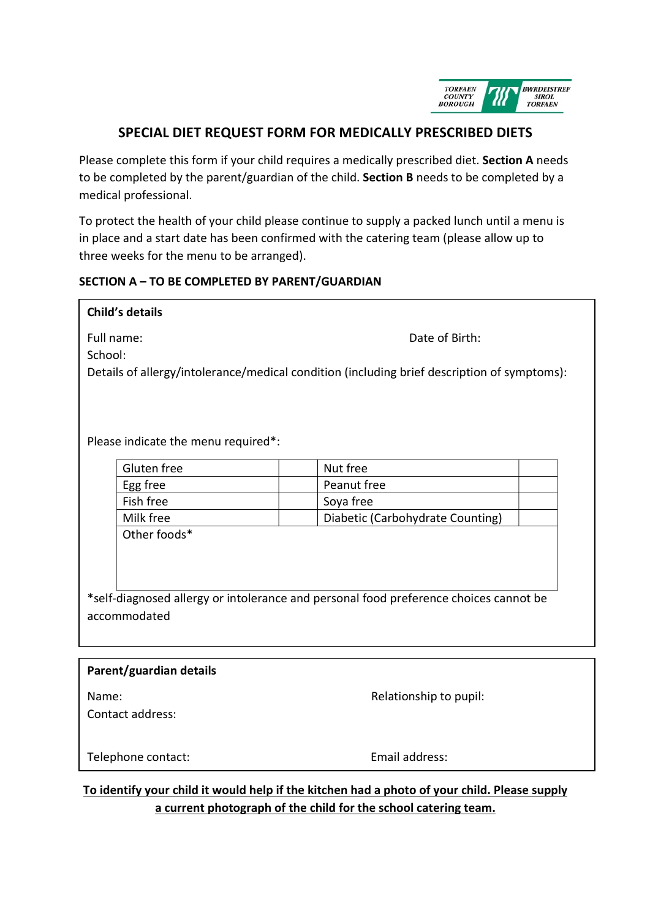

## **SPECIAL DIET REQUEST FORM FOR MEDICALLY PRESCRIBED DIETS**

Please complete this form if your child requires a medically prescribed diet. Section A needs to be completed by the parent/guardian of the child. Section B needs to be completed by a medical professional. 

To protect the health of your child please continue to supply a packed lunch until a menu is in place and a start date has been confirmed with the catering team (please allow up to three weeks for the menu to be arranged).

## **SECTION A - TO BE COMPLETED BY PARENT/GUARDIAN**

| Child's details                                                                             |                |
|---------------------------------------------------------------------------------------------|----------------|
| Full name:                                                                                  | Date of Birth: |
| School:                                                                                     |                |
| Details of allergy/intolerance/medical condition (including brief description of symptoms): |                |

Please indicate the menu required\*:

| Gluten free  | Nut free                         |
|--------------|----------------------------------|
| Egg free     | Peanut free                      |
| Fish free    | Soya free                        |
| Milk free    | Diabetic (Carbohydrate Counting) |
| Other foods* |                                  |

\*self-diagnosed allergy or intolerance and personal food preference choices cannot be accommodated

| Parent/guardian details   |                        |
|---------------------------|------------------------|
| Name:<br>Contact address: | Relationship to pupil: |
| Telephone contact:        | Email address:         |

To identify your child it would help if the kitchen had a photo of your child. Please supply a current photograph of the child for the school catering team.